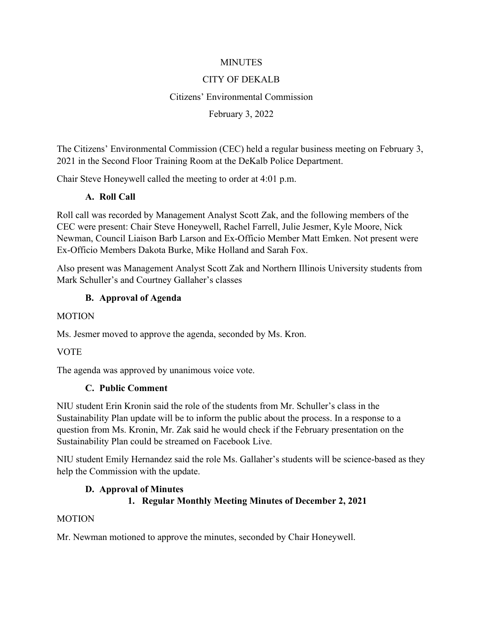#### **MINUTES**

### CITY OF DEKALB

#### Citizens' Environmental Commission

#### February 3, 2022

The Citizens' Environmental Commission (CEC) held a regular business meeting on February 3, 2021 in the Second Floor Training Room at the DeKalb Police Department.

Chair Steve Honeywell called the meeting to order at 4:01 p.m.

# **A. Roll Call**

Roll call was recorded by Management Analyst Scott Zak, and the following members of the CEC were present: Chair Steve Honeywell, Rachel Farrell, Julie Jesmer, Kyle Moore, Nick Newman, Council Liaison Barb Larson and Ex-Officio Member Matt Emken. Not present were Ex-Officio Members Dakota Burke, Mike Holland and Sarah Fox.

Also present was Management Analyst Scott Zak and Northern Illinois University students from Mark Schuller's and Courtney Gallaher's classes

# **B. Approval of Agenda**

#### **MOTION**

Ms. Jesmer moved to approve the agenda, seconded by Ms. Kron.

# **VOTE**

The agenda was approved by unanimous voice vote.

# **C. Public Comment**

NIU student Erin Kronin said the role of the students from Mr. Schuller's class in the Sustainability Plan update will be to inform the public about the process. In a response to a question from Ms. Kronin, Mr. Zak said he would check if the February presentation on the Sustainability Plan could be streamed on Facebook Live.

NIU student Emily Hernandez said the role Ms. Gallaher's students will be science-based as they help the Commission with the update.

# **D. Approval of Minutes**

# **1. Regular Monthly Meeting Minutes of December 2, 2021**

#### MOTION

Mr. Newman motioned to approve the minutes, seconded by Chair Honeywell.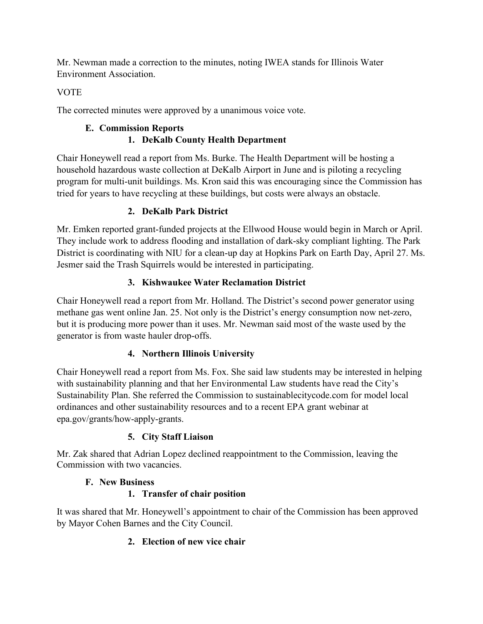Mr. Newman made a correction to the minutes, noting IWEA stands for Illinois Water Environment Association.

# **VOTE**

The corrected minutes were approved by a unanimous voice vote.

# **E. Commission Reports 1. DeKalb County Health Department**

Chair Honeywell read a report from Ms. Burke. The Health Department will be hosting a household hazardous waste collection at DeKalb Airport in June and is piloting a recycling program for multi-unit buildings. Ms. Kron said this was encouraging since the Commission has tried for years to have recycling at these buildings, but costs were always an obstacle.

# **2. DeKalb Park District**

Mr. Emken reported grant-funded projects at the Ellwood House would begin in March or April. They include work to address flooding and installation of dark-sky compliant lighting. The Park District is coordinating with NIU for a clean-up day at Hopkins Park on Earth Day, April 27. Ms. Jesmer said the Trash Squirrels would be interested in participating.

# **3. Kishwaukee Water Reclamation District**

Chair Honeywell read a report from Mr. Holland. The District's second power generator using methane gas went online Jan. 25. Not only is the District's energy consumption now net-zero, but it is producing more power than it uses. Mr. Newman said most of the waste used by the generator is from waste hauler drop-offs.

# **4. Northern Illinois University**

Chair Honeywell read a report from Ms. Fox. She said law students may be interested in helping with sustainability planning and that her Environmental Law students have read the City's Sustainability Plan. She referred the Commission to sustainablecitycode.com for model local ordinances and other sustainability resources and to a recent EPA grant webinar at epa.gov/grants/how-apply-grants.

# **5. City Staff Liaison**

Mr. Zak shared that Adrian Lopez declined reappointment to the Commission, leaving the Commission with two vacancies.

# **F. New Business**

# **1. Transfer of chair position**

It was shared that Mr. Honeywell's appointment to chair of the Commission has been approved by Mayor Cohen Barnes and the City Council.

# **2. Election of new vice chair**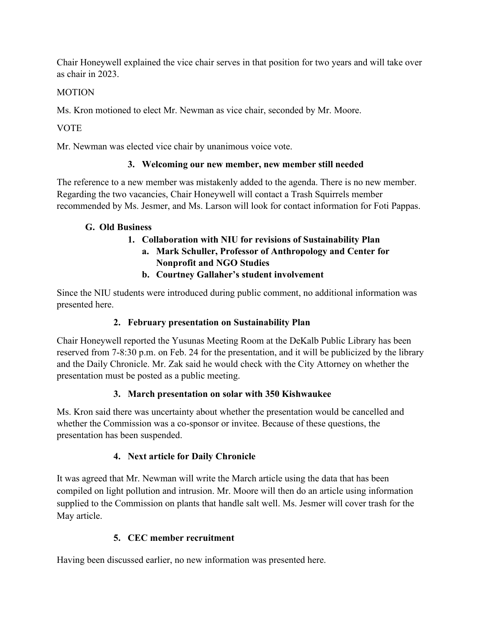Chair Honeywell explained the vice chair serves in that position for two years and will take over as chair in 2023.

### **MOTION**

Ms. Kron motioned to elect Mr. Newman as vice chair, seconded by Mr. Moore.

VOTE

Mr. Newman was elected vice chair by unanimous voice vote.

### **3. Welcoming our new member, new member still needed**

The reference to a new member was mistakenly added to the agenda. There is no new member. Regarding the two vacancies, Chair Honeywell will contact a Trash Squirrels member recommended by Ms. Jesmer, and Ms. Larson will look for contact information for Foti Pappas.

### **G. Old Business**

# **1. Collaboration with NIU for revisions of Sustainability Plan**

- **a. Mark Schuller, Professor of Anthropology and Center for Nonprofit and NGO Studies**
- **b. Courtney Gallaher's student involvement**

Since the NIU students were introduced during public comment, no additional information was presented here.

# **2. February presentation on Sustainability Plan**

Chair Honeywell reported the Yusunas Meeting Room at the DeKalb Public Library has been reserved from 7-8:30 p.m. on Feb. 24 for the presentation, and it will be publicized by the library and the Daily Chronicle. Mr. Zak said he would check with the City Attorney on whether the presentation must be posted as a public meeting.

# **3. March presentation on solar with 350 Kishwaukee**

Ms. Kron said there was uncertainty about whether the presentation would be cancelled and whether the Commission was a co-sponsor or invitee. Because of these questions, the presentation has been suspended.

# **4. Next article for Daily Chronicle**

It was agreed that Mr. Newman will write the March article using the data that has been compiled on light pollution and intrusion. Mr. Moore will then do an article using information supplied to the Commission on plants that handle salt well. Ms. Jesmer will cover trash for the May article.

# **5. CEC member recruitment**

Having been discussed earlier, no new information was presented here.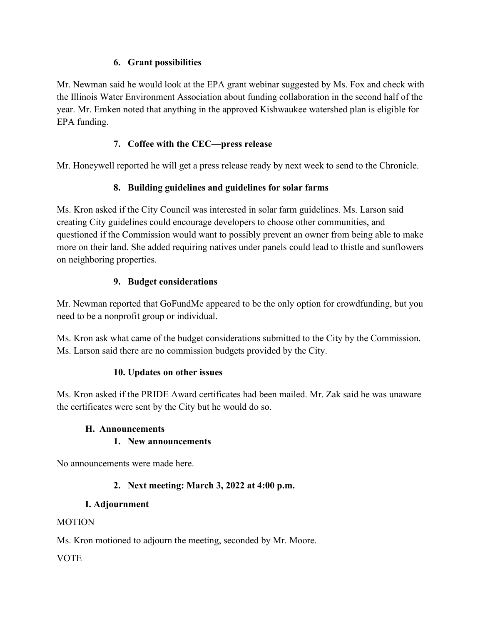### **6. Grant possibilities**

Mr. Newman said he would look at the EPA grant webinar suggested by Ms. Fox and check with the Illinois Water Environment Association about funding collaboration in the second half of the year. Mr. Emken noted that anything in the approved Kishwaukee watershed plan is eligible for EPA funding.

# **7. Coffee with the CEC—press release**

Mr. Honeywell reported he will get a press release ready by next week to send to the Chronicle.

# **8. Building guidelines and guidelines for solar farms**

Ms. Kron asked if the City Council was interested in solar farm guidelines. Ms. Larson said creating City guidelines could encourage developers to choose other communities, and questioned if the Commission would want to possibly prevent an owner from being able to make more on their land. She added requiring natives under panels could lead to thistle and sunflowers on neighboring properties.

# **9. Budget considerations**

Mr. Newman reported that GoFundMe appeared to be the only option for crowdfunding, but you need to be a nonprofit group or individual.

Ms. Kron ask what came of the budget considerations submitted to the City by the Commission. Ms. Larson said there are no commission budgets provided by the City.

# **10. Updates on other issues**

Ms. Kron asked if the PRIDE Award certificates had been mailed. Mr. Zak said he was unaware the certificates were sent by the City but he would do so.

# **H. Announcements**

# **1. New announcements**

No announcements were made here.

# **2. Next meeting: March 3, 2022 at 4:00 p.m.**

# **I. Adjournment**

# MOTION

Ms. Kron motioned to adjourn the meeting, seconded by Mr. Moore.

# **VOTE**